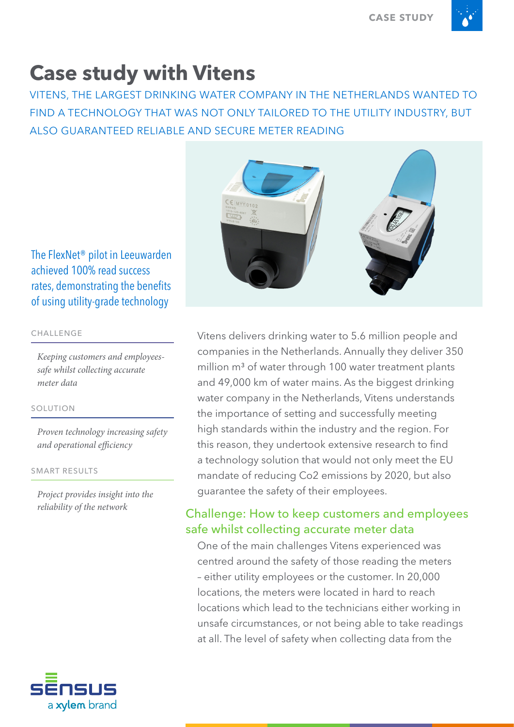# **Case study with Vitens**

VITENS, THE LARGEST DRINKING WATER COMPANY IN THE NETHERLANDS WANTED TO FIND A TECHNOLOGY THAT WAS NOT ONLY TAILORED TO THE UTILITY INDUSTRY, BUT ALSO GUARANTEED RELIABLE AND SECURE METER READING



The FlexNet® pilot in Leeuwarden achieved 100% read success rates, demonstrating the benefits of using utility-grade technology

### CHALLENGE

*Keeping customers and employeessafe whilst collecting accurate meter data*

### SOLUTION

*Proven technology increasing safety and operational efficiency* 

SMART RESULTS

*Project provides insight into the reliability of the network*



Vitens delivers drinking water to 5.6 million people and companies in the Netherlands. Annually they deliver 350 million m<sup>3</sup> of water through 100 water treatment plants and 49,000 km of water mains. As the biggest drinking water company in the Netherlands, Vitens understands the importance of setting and successfully meeting high standards within the industry and the region. For this reason, they undertook extensive research to find a technology solution that would not only meet the EU mandate of reducing Co2 emissions by 2020, but also guarantee the safety of their employees.

### Challenge: How to keep customers and employees safe whilst collecting accurate meter data

One of the main challenges Vitens experienced was centred around the safety of those reading the meters – either utility employees or the customer. In 20,000 locations, the meters were located in hard to reach locations which lead to the technicians either working in unsafe circumstances, or not being able to take readings at all. The level of safety when collecting data from the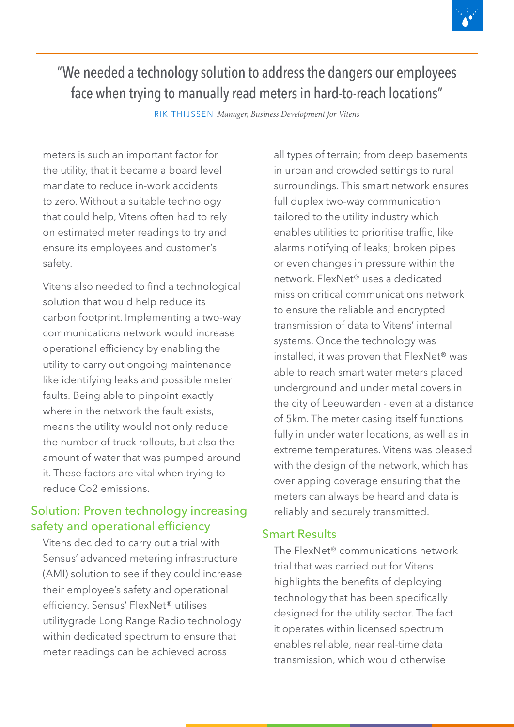

# "We needed a technology solution to address the dangers our employees face when trying to manually read meters in hard-to-reach locations"

RIK THIJSSEN *Manager, Business Development for Vitens*

meters is such an important factor for the utility, that it became a board level mandate to reduce in-work accidents to zero. Without a suitable technology that could help, Vitens often had to rely on estimated meter readings to try and ensure its employees and customer's safety.

Vitens also needed to find a technological solution that would help reduce its carbon footprint. Implementing a two-way communications network would increase operational efficiency by enabling the utility to carry out ongoing maintenance like identifying leaks and possible meter faults. Being able to pinpoint exactly where in the network the fault exists, means the utility would not only reduce the number of truck rollouts, but also the amount of water that was pumped around it. These factors are vital when trying to reduce Co2 emissions.

## Solution: Proven technology increasing safety and operational efficiency

Vitens decided to carry out a trial with Sensus' advanced metering infrastructure (AMI) solution to see if they could increase their employee's safety and operational efficiency. Sensus' FlexNet® utilises utilitygrade Long Range Radio technology within dedicated spectrum to ensure that meter readings can be achieved across

all types of terrain; from deep basements in urban and crowded settings to rural surroundings. This smart network ensures full duplex two-way communication tailored to the utility industry which enables utilities to prioritise traffic, like alarms notifying of leaks; broken pipes or even changes in pressure within the network. FlexNet® uses a dedicated mission critical communications network to ensure the reliable and encrypted transmission of data to Vitens' internal systems. Once the technology was installed, it was proven that FlexNet® was able to reach smart water meters placed underground and under metal covers in the city of Leeuwarden - even at a distance of 5km. The meter casing itself functions fully in under water locations, as well as in extreme temperatures. Vitens was pleased with the design of the network, which has overlapping coverage ensuring that the meters can always be heard and data is reliably and securely transmitted.

# Smart Results

The FlexNet® communications network trial that was carried out for Vitens highlights the benefits of deploying technology that has been specifically designed for the utility sector. The fact it operates within licensed spectrum enables reliable, near real-time data transmission, which would otherwise